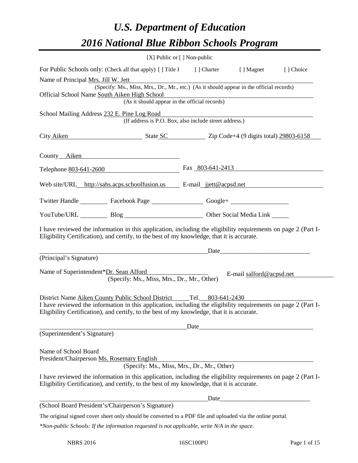# *U.S. Department of Education 2016 National Blue Ribbon Schools Program*

|                                                                                                                                                                                                                                                                                                                                                                                                                                                                                                                                                                                                                                                                                                                                                                                                                                                                                                                                                                                                                                                                    |                                                                                                                       | [X] Public or [] Non-public                                                                                             |                          |           |
|--------------------------------------------------------------------------------------------------------------------------------------------------------------------------------------------------------------------------------------------------------------------------------------------------------------------------------------------------------------------------------------------------------------------------------------------------------------------------------------------------------------------------------------------------------------------------------------------------------------------------------------------------------------------------------------------------------------------------------------------------------------------------------------------------------------------------------------------------------------------------------------------------------------------------------------------------------------------------------------------------------------------------------------------------------------------|-----------------------------------------------------------------------------------------------------------------------|-------------------------------------------------------------------------------------------------------------------------|--------------------------|-----------|
| For Public Schools only: (Check all that apply) [] Title I [] Charter                                                                                                                                                                                                                                                                                                                                                                                                                                                                                                                                                                                                                                                                                                                                                                                                                                                                                                                                                                                              |                                                                                                                       |                                                                                                                         | [ ] Magnet               | [] Choice |
| Name of Principal Mrs. Jill W. Jett                                                                                                                                                                                                                                                                                                                                                                                                                                                                                                                                                                                                                                                                                                                                                                                                                                                                                                                                                                                                                                |                                                                                                                       |                                                                                                                         |                          |           |
| Official School Name South Aiken High School                                                                                                                                                                                                                                                                                                                                                                                                                                                                                                                                                                                                                                                                                                                                                                                                                                                                                                                                                                                                                       | (Specify: Ms., Miss, Mrs., Dr., Mr., etc.) (As it should appear in the official records)                              |                                                                                                                         |                          |           |
|                                                                                                                                                                                                                                                                                                                                                                                                                                                                                                                                                                                                                                                                                                                                                                                                                                                                                                                                                                                                                                                                    | (As it should appear in the official records)                                                                         | <u> 1980 - Johann Barn, fransk politik (d. 1980)</u>                                                                    |                          |           |
| School Mailing Address 232 E. Pine Log Road                                                                                                                                                                                                                                                                                                                                                                                                                                                                                                                                                                                                                                                                                                                                                                                                                                                                                                                                                                                                                        |                                                                                                                       |                                                                                                                         |                          |           |
|                                                                                                                                                                                                                                                                                                                                                                                                                                                                                                                                                                                                                                                                                                                                                                                                                                                                                                                                                                                                                                                                    | (If address is P.O. Box, also include street address.)                                                                |                                                                                                                         |                          |           |
| City Aiken State SC Zip Code+4 (9 digits total) 29803-6158                                                                                                                                                                                                                                                                                                                                                                                                                                                                                                                                                                                                                                                                                                                                                                                                                                                                                                                                                                                                         |                                                                                                                       |                                                                                                                         |                          |           |
| County Aiken                                                                                                                                                                                                                                                                                                                                                                                                                                                                                                                                                                                                                                                                                                                                                                                                                                                                                                                                                                                                                                                       |                                                                                                                       |                                                                                                                         |                          |           |
| Telephone 803-641-2600                                                                                                                                                                                                                                                                                                                                                                                                                                                                                                                                                                                                                                                                                                                                                                                                                                                                                                                                                                                                                                             |                                                                                                                       | Fax $803-641-2413$                                                                                                      |                          |           |
| Web site/URL_http://sahs.acps.schoolfusion.us E-mail_jiett@acpsd.net                                                                                                                                                                                                                                                                                                                                                                                                                                                                                                                                                                                                                                                                                                                                                                                                                                                                                                                                                                                               |                                                                                                                       |                                                                                                                         |                          |           |
| Twitter Handle ____________ Facebook Page _____________________ Google+ ____________________________                                                                                                                                                                                                                                                                                                                                                                                                                                                                                                                                                                                                                                                                                                                                                                                                                                                                                                                                                               |                                                                                                                       |                                                                                                                         |                          |           |
| YouTube/URL Blog Blog Cher Social Media Link                                                                                                                                                                                                                                                                                                                                                                                                                                                                                                                                                                                                                                                                                                                                                                                                                                                                                                                                                                                                                       |                                                                                                                       |                                                                                                                         |                          |           |
|                                                                                                                                                                                                                                                                                                                                                                                                                                                                                                                                                                                                                                                                                                                                                                                                                                                                                                                                                                                                                                                                    |                                                                                                                       |                                                                                                                         |                          |           |
|                                                                                                                                                                                                                                                                                                                                                                                                                                                                                                                                                                                                                                                                                                                                                                                                                                                                                                                                                                                                                                                                    |                                                                                                                       |                                                                                                                         |                          |           |
|                                                                                                                                                                                                                                                                                                                                                                                                                                                                                                                                                                                                                                                                                                                                                                                                                                                                                                                                                                                                                                                                    | <u> 2002 - Jan Barbara Barat, prima de la provincia de la provincia de la provincia de la provincia de la provinc</u> |                                                                                                                         |                          |           |
|                                                                                                                                                                                                                                                                                                                                                                                                                                                                                                                                                                                                                                                                                                                                                                                                                                                                                                                                                                                                                                                                    | (Specify: Ms., Miss, Mrs., Dr., Mr., Other)                                                                           | <u>and the companion of the companion of the companion of the companion of the companion of the companion of the co</u> | E-mail salford@acpsd.net |           |
|                                                                                                                                                                                                                                                                                                                                                                                                                                                                                                                                                                                                                                                                                                                                                                                                                                                                                                                                                                                                                                                                    |                                                                                                                       |                                                                                                                         |                          |           |
|                                                                                                                                                                                                                                                                                                                                                                                                                                                                                                                                                                                                                                                                                                                                                                                                                                                                                                                                                                                                                                                                    |                                                                                                                       |                                                                                                                         |                          |           |
|                                                                                                                                                                                                                                                                                                                                                                                                                                                                                                                                                                                                                                                                                                                                                                                                                                                                                                                                                                                                                                                                    |                                                                                                                       | Date                                                                                                                    |                          |           |
|                                                                                                                                                                                                                                                                                                                                                                                                                                                                                                                                                                                                                                                                                                                                                                                                                                                                                                                                                                                                                                                                    |                                                                                                                       |                                                                                                                         |                          |           |
|                                                                                                                                                                                                                                                                                                                                                                                                                                                                                                                                                                                                                                                                                                                                                                                                                                                                                                                                                                                                                                                                    |                                                                                                                       |                                                                                                                         |                          |           |
|                                                                                                                                                                                                                                                                                                                                                                                                                                                                                                                                                                                                                                                                                                                                                                                                                                                                                                                                                                                                                                                                    | (Specify: Ms., Miss, Mrs., Dr., Mr., Other)                                                                           |                                                                                                                         |                          |           |
|                                                                                                                                                                                                                                                                                                                                                                                                                                                                                                                                                                                                                                                                                                                                                                                                                                                                                                                                                                                                                                                                    |                                                                                                                       | Date                                                                                                                    |                          |           |
|                                                                                                                                                                                                                                                                                                                                                                                                                                                                                                                                                                                                                                                                                                                                                                                                                                                                                                                                                                                                                                                                    |                                                                                                                       |                                                                                                                         |                          |           |
| I have reviewed the information in this application, including the eligibility requirements on page 2 (Part I-<br>Eligibility Certification), and certify, to the best of my knowledge, that it is accurate.<br>(Principal's Signature)<br>Name of Superintendent*Dr. Sean Alford<br>District Name Aiken County Public School District Tel. 803-641-2430<br>I have reviewed the information in this application, including the eligibility requirements on page 2 (Part I-<br>Eligibility Certification), and certify, to the best of my knowledge, that it is accurate.<br>(Superintendent's Signature)<br>Name of School Board<br>President/Chairperson Ms. Rosemary English<br>I have reviewed the information in this application, including the eligibility requirements on page 2 (Part I-<br>Eligibility Certification), and certify, to the best of my knowledge, that it is accurate.<br>(School Board President's/Chairperson's Signature)<br>The original signed cover sheet only should be converted to a PDF file and uploaded via the online portal. |                                                                                                                       |                                                                                                                         |                          |           |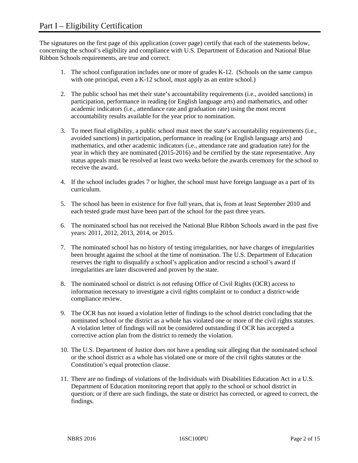The signatures on the first page of this application (cover page) certify that each of the statements below, concerning the school's eligibility and compliance with U.S. Department of Education and National Blue Ribbon Schools requirements, are true and correct.

- 1. The school configuration includes one or more of grades K-12. (Schools on the same campus with one principal, even a K-12 school, must apply as an entire school.)
- 2. The public school has met their state's accountability requirements (i.e., avoided sanctions) in participation, performance in reading (or English language arts) and mathematics, and other academic indicators (i.e., attendance rate and graduation rate) using the most recent accountability results available for the year prior to nomination.
- 3. To meet final eligibility, a public school must meet the state's accountability requirements (i.e., avoided sanctions) in participation, performance in reading (or English language arts) and mathematics, and other academic indicators (i.e., attendance rate and graduation rate) for the year in which they are nominated (2015-2016) and be certified by the state representative. Any status appeals must be resolved at least two weeks before the awards ceremony for the school to receive the award.
- 4. If the school includes grades 7 or higher, the school must have foreign language as a part of its curriculum.
- 5. The school has been in existence for five full years, that is, from at least September 2010 and each tested grade must have been part of the school for the past three years.
- 6. The nominated school has not received the National Blue Ribbon Schools award in the past five years: 2011, 2012, 2013, 2014, or 2015.
- 7. The nominated school has no history of testing irregularities, nor have charges of irregularities been brought against the school at the time of nomination. The U.S. Department of Education reserves the right to disqualify a school's application and/or rescind a school's award if irregularities are later discovered and proven by the state.
- 8. The nominated school or district is not refusing Office of Civil Rights (OCR) access to information necessary to investigate a civil rights complaint or to conduct a district-wide compliance review.
- 9. The OCR has not issued a violation letter of findings to the school district concluding that the nominated school or the district as a whole has violated one or more of the civil rights statutes. A violation letter of findings will not be considered outstanding if OCR has accepted a corrective action plan from the district to remedy the violation.
- 10. The U.S. Department of Justice does not have a pending suit alleging that the nominated school or the school district as a whole has violated one or more of the civil rights statutes or the Constitution's equal protection clause.
- 11. There are no findings of violations of the Individuals with Disabilities Education Act in a U.S. Department of Education monitoring report that apply to the school or school district in question; or if there are such findings, the state or district has corrected, or agreed to correct, the findings.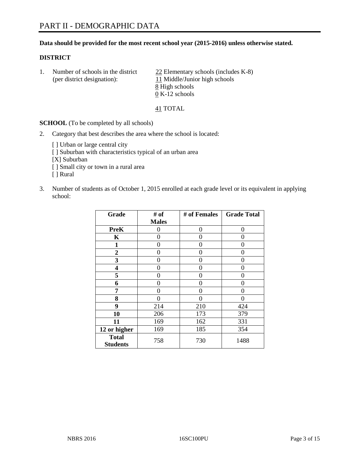### **Data should be provided for the most recent school year (2015-2016) unless otherwise stated.**

#### **DISTRICT**

1. Number of schools in the district  $\frac{22}{2}$  Elementary schools (includes K-8) (per district designation): 11 Middle/Junior high schools 8 High schools 0 K-12 schools

41 TOTAL

**SCHOOL** (To be completed by all schools)

- 2. Category that best describes the area where the school is located:
	- [] Urban or large central city [ ] Suburban with characteristics typical of an urban area [X] Suburban [ ] Small city or town in a rural area [ ] Rural
- 3. Number of students as of October 1, 2015 enrolled at each grade level or its equivalent in applying school:

| Grade                           | # of         | # of Females | <b>Grade Total</b> |
|---------------------------------|--------------|--------------|--------------------|
|                                 | <b>Males</b> |              |                    |
| <b>PreK</b>                     | 0            | $\theta$     | 0                  |
| K                               | 0            | 0            | 0                  |
| 1                               | 0            | 0            | 0                  |
| $\overline{2}$                  | 0            | 0            | 0                  |
| 3                               | 0            | 0            | 0                  |
| 4                               | 0            | 0            | 0                  |
| 5                               | 0            | 0            | 0                  |
| 6                               | 0            | 0            | 0                  |
| 7                               | 0            | 0            | 0                  |
| 8                               | 0            | 0            | 0                  |
| 9                               | 214          | 210          | 424                |
| 10                              | 206          | 173          | 379                |
| 11                              | 169          | 162          | 331                |
| 12 or higher                    | 169          | 185          | 354                |
| <b>Total</b><br><b>Students</b> | 758          | 730          | 1488               |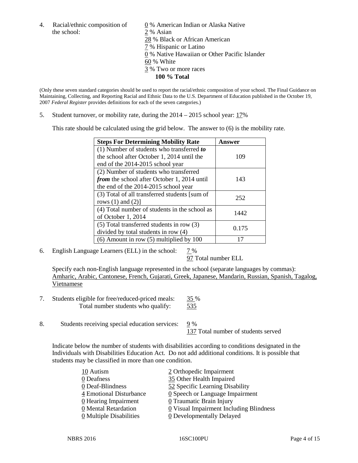the school: 2 % Asian

4. Racial/ethnic composition of  $\underline{0}$  % American Indian or Alaska Native 28 % Black or African American 7 % Hispanic or Latino 0 % Native Hawaiian or Other Pacific Islander 60 % White 3 % Two or more races **100 % Total**

(Only these seven standard categories should be used to report the racial/ethnic composition of your school. The Final Guidance on Maintaining, Collecting, and Reporting Racial and Ethnic Data to the U.S. Department of Education published in the October 19, 2007 *Federal Register* provides definitions for each of the seven categories.)

5. Student turnover, or mobility rate, during the 2014 – 2015 school year: 17%

This rate should be calculated using the grid below. The answer to (6) is the mobility rate.

| <b>Steps For Determining Mobility Rate</b>         | Answer |  |
|----------------------------------------------------|--------|--|
| (1) Number of students who transferred to          |        |  |
| the school after October 1, 2014 until the         | 109    |  |
| end of the 2014-2015 school year                   |        |  |
| (2) Number of students who transferred             |        |  |
| <i>from</i> the school after October 1, 2014 until | 143    |  |
| the end of the 2014-2015 school year               |        |  |
| (3) Total of all transferred students [sum of      | 252    |  |
| rows $(1)$ and $(2)$ ]                             |        |  |
| (4) Total number of students in the school as      | 1442   |  |
| of October 1, 2014                                 |        |  |
| $(5)$ Total transferred students in row $(3)$      | 0.175  |  |
| divided by total students in row (4)               |        |  |
| $(6)$ Amount in row $(5)$ multiplied by 100        |        |  |

6. English Language Learners (ELL) in the school:  $7\%$ 

97 Total number ELL

Specify each non-English language represented in the school (separate languages by commas): Amharic, Arabic, Cantonese, French, Gujarati, Greek, Japanese, Mandarin, Russian, Spanish, Tagalog, Vietnamese

- 7. Students eligible for free/reduced-priced meals: 35 % Total number students who qualify: 535
- 8. Students receiving special education services: 9 %

137 Total number of students served

Indicate below the number of students with disabilities according to conditions designated in the Individuals with Disabilities Education Act. Do not add additional conditions. It is possible that students may be classified in more than one condition.

| 10 Autism                             | 2 Orthopedic Impairment                               |
|---------------------------------------|-------------------------------------------------------|
| 0 Deafness                            | 35 Other Health Impaired                              |
| 0 Deaf-Blindness                      | 52 Specific Learning Disability                       |
| 4 Emotional Disturbance               | $\underline{0}$ Speech or Language Impairment         |
| 0 Hearing Impairment                  | 0 Traumatic Brain Injury                              |
| 0 Mental Retardation                  | $\underline{0}$ Visual Impairment Including Blindness |
| $\underline{0}$ Multiple Disabilities | <b>0</b> Developmentally Delayed                      |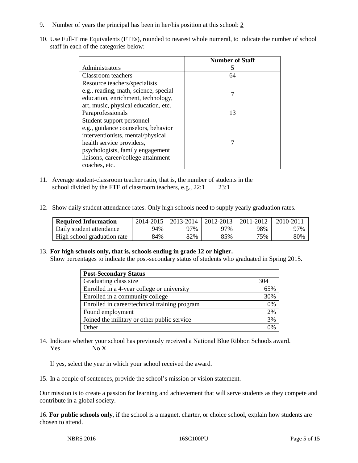- 9. Number of years the principal has been in her/his position at this school: 2
- 10. Use Full-Time Equivalents (FTEs), rounded to nearest whole numeral, to indicate the number of school staff in each of the categories below:

|                                       | <b>Number of Staff</b> |
|---------------------------------------|------------------------|
| Administrators                        |                        |
| Classroom teachers                    | 64                     |
| Resource teachers/specialists         |                        |
| e.g., reading, math, science, special |                        |
| education, enrichment, technology,    |                        |
| art, music, physical education, etc.  |                        |
| Paraprofessionals                     | 13                     |
| Student support personnel             |                        |
| e.g., guidance counselors, behavior   |                        |
| interventionists, mental/physical     |                        |
| health service providers,             |                        |
| psychologists, family engagement      |                        |
| liaisons, career/college attainment   |                        |
| coaches, etc.                         |                        |

- 11. Average student-classroom teacher ratio, that is, the number of students in the school divided by the FTE of classroom teachers, e.g., 22:1 23:1
- 12. Show daily student attendance rates. Only high schools need to supply yearly graduation rates.

| <b>Required Information</b> | 2014-2015 | $2013 - 2014$ | $12012 - 2013$ | 2011-2012 | $2010 - 201$ |
|-----------------------------|-----------|---------------|----------------|-----------|--------------|
| Daily student attendance    | 94%       | 97%           | 97%            | 98%       | 97%          |
| High school graduation rate | 84%       | 82%           | 85%            | 75%       | 80%          |

### 13. **For high schools only, that is, schools ending in grade 12 or higher.**

Show percentages to indicate the post-secondary status of students who graduated in Spring 2015.

| <b>Post-Secondary Status</b>                  |          |
|-----------------------------------------------|----------|
| Graduating class size                         | 304      |
| Enrolled in a 4-year college or university    | 65%      |
| Enrolled in a community college               | 30%      |
| Enrolled in career/technical training program | 0%       |
| Found employment                              | 2%       |
| Joined the military or other public service   | 3%       |
| Other                                         | $\gamma$ |

14. Indicate whether your school has previously received a National Blue Ribbon Schools award. Yes No X

If yes, select the year in which your school received the award.

15. In a couple of sentences, provide the school's mission or vision statement.

Our mission is to create a passion for learning and achievement that will serve students as they compete and contribute in a global society.

16. **For public schools only**, if the school is a magnet, charter, or choice school, explain how students are chosen to attend.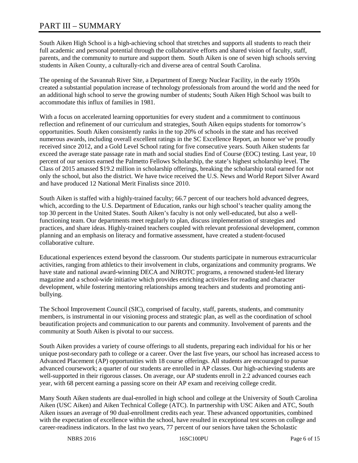# PART III – SUMMARY

South Aiken High School is a high-achieving school that stretches and supports all students to reach their full academic and personal potential through the collaborative efforts and shared vision of faculty, staff, parents, and the community to nurture and support them. South Aiken is one of seven high schools serving students in Aiken County, a culturally-rich and diverse area of central South Carolina.

The opening of the Savannah River Site, a Department of Energy Nuclear Facility, in the early 1950s created a substantial population increase of technology professionals from around the world and the need for an additional high school to serve the growing number of students; South Aiken High School was built to accommodate this influx of families in 1981.

With a focus on accelerated learning opportunities for every student and a commitment to continuous reflection and refinement of our curriculum and strategies, South Aiken equips students for tomorrow's opportunities. South Aiken consistently ranks in the top 20% of schools in the state and has received numerous awards, including overall excellent ratings in the SC Excellence Report, an honor we've proudly received since 2012, and a Gold Level School rating for five consecutive years. South Aiken students far exceed the average state passage rate in math and social studies End of Course (EOC) testing. Last year, 10 percent of our seniors earned the Palmetto Fellows Scholarship, the state's highest scholarship level. The Class of 2015 amassed \$19.2 million in scholarship offerings, breaking the scholarship total earned for not only the school, but also the district. We have twice received the U.S. News and World Report Silver Award and have produced 12 National Merit Finalists since 2010.

South Aiken is staffed with a highly-trained faculty; 66.7 percent of our teachers hold advanced degrees, which, according to the U.S. Department of Education, ranks our high school's teacher quality among the top 30 percent in the United States. South Aiken's faculty is not only well-educated, but also a wellfunctioning team. Our departments meet regularly to plan, discuss implementation of strategies and practices, and share ideas. Highly-trained teachers coupled with relevant professional development, common planning and an emphasis on literacy and formative assessment, have created a student-focused collaborative culture.

Educational experiences extend beyond the classroom. Our students participate in numerous extracurricular activities, ranging from athletics to their involvement in clubs, organizations and community programs. We have state and national award-winning DECA and NJROTC programs, a renowned student-led literary magazine and a school-wide initiative which provides enriching activities for reading and character development, while fostering mentoring relationships among teachers and students and promoting antibullying.

The School Improvement Council (SIC), comprised of faculty, staff, parents, students, and community members, is instrumental in our visioning process and strategic plan, as well as the coordination of school beautification projects and communication to our parents and community. Involvement of parents and the community at South Aiken is pivotal to our success.

South Aiken provides a variety of course offerings to all students, preparing each individual for his or her unique post-secondary path to college or a career. Over the last five years, our school has increased access to Advanced Placement (AP) opportunities with 18 course offerings. All students are encouraged to pursue advanced coursework; a quarter of our students are enrolled in AP classes. Our high-achieving students are well-supported in their rigorous classes. On average, our AP students enroll in 2.2 advanced courses each year, with 68 percent earning a passing score on their AP exam and receiving college credit.

Many South Aiken students are dual-enrolled in high school and college at the University of South Carolina Aiken (USC Aiken) and Aiken Technical College (ATC). In partnership with USC Aiken and ATC, South Aiken issues an average of 90 dual-enrollment credits each year. These advanced opportunities, combined with the expectation of excellence within the school, have resulted in exceptional test scores on college and career-readiness indicators. In the last two years, 77 percent of our seniors have taken the Scholastic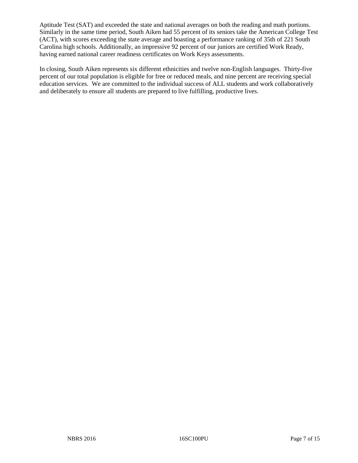Aptitude Test (SAT) and exceeded the state and national averages on both the reading and math portions. Similarly in the same time period, South Aiken had 55 percent of its seniors take the American College Test (ACT), with scores exceeding the state average and boasting a performance ranking of 35th of 221 South Carolina high schools. Additionally, an impressive 92 percent of our juniors are certified Work Ready, having earned national career readiness certificates on Work Keys assessments.

In closing, South Aiken represents six different ethnicities and twelve non-English languages. Thirty-five percent of our total population is eligible for free or reduced meals, and nine percent are receiving special education services. We are committed to the individual success of ALL students and work collaboratively and deliberately to ensure all students are prepared to live fulfilling, productive lives.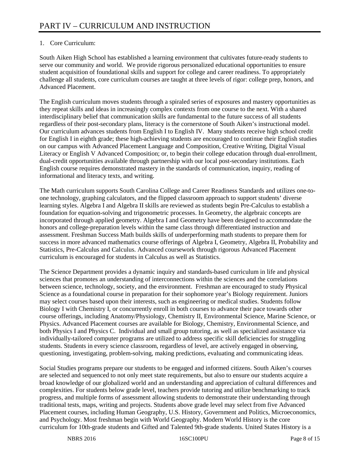# 1. Core Curriculum:

South Aiken High School has established a learning environment that cultivates future-ready students to serve our community and world. We provide rigorous personalized educational opportunities to ensure student acquisition of foundational skills and support for college and career readiness. To appropriately challenge all students, core curriculum courses are taught at three levels of rigor: college prep, honors, and Advanced Placement.

The English curriculum moves students through a spiraled series of exposures and mastery opportunities as they repeat skills and ideas in increasingly complex contexts from one course to the next. With a shared interdisciplinary belief that communication skills are fundamental to the future success of all students regardless of their post-secondary plans, literacy is the cornerstone of South Aiken's instructional model. Our curriculum advances students from English I to English IV. Many students receive high school credit for English I in eighth grade; these high-achieving students are encouraged to continue their English studies on our campus with Advanced Placement Language and Composition, Creative Writing, Digital Visual Literacy or English V Advanced Composition; or, to begin their college education through dual-enrollment, dual-credit opportunities available through partnership with our local post-secondary institutions. Each English course requires demonstrated mastery in the standards of communication, inquiry, reading of informational and literacy texts, and writing.

The Math curriculum supports South Carolina College and Career Readiness Standards and utilizes one-toone technology, graphing calculators, and the flipped classroom approach to support students' diverse learning styles. Algebra I and Algebra II skills are reviewed as students begin Pre-Calculus to establish a foundation for equation-solving and trigonometric processes. In Geometry, the algebraic concepts are incorporated through applied geometry. Algebra I and Geometry have been designed to accommodate the honors and college-preparation levels within the same class through differentiated instruction and assessment. Freshman Success Math builds skills of underperforming math students to prepare them for success in more advanced mathematics course offerings of Algebra I, Geometry, Algebra II, Probability and Statistics, Pre-Calculus and Calculus. Advanced coursework through rigorous Advanced Placement curriculum is encouraged for students in Calculus as well as Statistics.

The Science Department provides a dynamic inquiry and standards-based curriculum in life and physical sciences that promotes an understanding of interconnections within the sciences and the correlations between science, technology, society, and the environment. Freshman are encouraged to study Physical Science as a foundational course in preparation for their sophomore year's Biology requirement. Juniors may select courses based upon their interests, such as engineering or medical studies. Students follow Biology I with Chemistry I, or concurrently enroll in both courses to advance their pace towards other course offerings, including Anatomy/Physiology, Chemistry II, Environmental Science, Marine Science, or Physics. Advanced Placement courses are available for Biology, Chemistry, Environmental Science, and both Physics I and Physics C. Individual and small group tutoring, as well as specialized assistance via individually-tailored computer programs are utilized to address specific skill deficiencies for struggling students. Students in every science classroom, regardless of level, are actively engaged in observing, questioning, investigating, problem-solving, making predictions, evaluating and communicating ideas.

Social Studies programs prepare our students to be engaged and informed citizens. South Aiken's courses are selected and sequenced to not only meet state requirements, but also to ensure our students acquire a broad knowledge of our globalized world and an understanding and appreciation of cultural differences and complexities. For students below grade level, teachers provide tutoring and utilize benchmarking to track progress, and multiple forms of assessment allowing students to demonstrate their understanding through traditional tests, maps, writing and projects. Students above grade level may select from five Advanced Placement courses, including Human Geography, U.S. History, Government and Politics, Microeconomics, and Psychology. Most freshman begin with World Geography. Modern World History is the core curriculum for 10th-grade students and Gifted and Talented 9th-grade students. United States History is a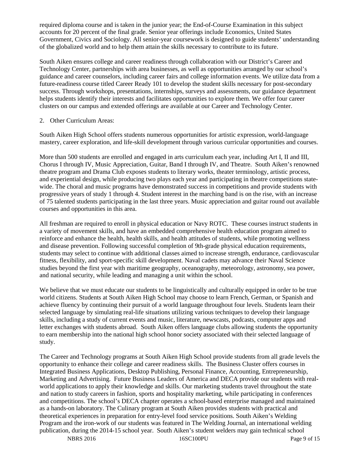required diploma course and is taken in the junior year; the End-of-Course Examination in this subject accounts for 20 percent of the final grade. Senior year offerings include Economics, United States Government, Civics and Sociology. All senior-year coursework is designed to guide students' understanding of the globalized world and to help them attain the skills necessary to contribute to its future.

South Aiken ensures college and career readiness through collaboration with our District's Career and Technology Center, partnerships with area businesses, as well as opportunities arranged by our school's guidance and career counselors, including career fairs and college information events. We utilize data from a future-readiness course titled Career Ready 101 to develop the student skills necessary for post-secondary success. Through workshops, presentations, internships, surveys and assessments, our guidance department helps students identify their interests and facilitates opportunities to explore them. We offer four career clusters on our campus and extended offerings are available at our Career and Technology Center.

# 2. Other Curriculum Areas:

South Aiken High School offers students numerous opportunities for artistic expression, world-language mastery, career exploration, and life-skill development through various curricular opportunities and courses.

More than 500 students are enrolled and engaged in arts curriculum each year, including Art I, II and III, Chorus I through IV, Music Appreciation, Guitar, Band I through IV, and Theatre. South Aiken's renowned theatre program and Drama Club exposes students to literary works, theater terminology, artistic process, and experiential design, while producing two plays each year and participating in theatre competitions statewide. The choral and music programs have demonstrated success in competitions and provide students with progressive years of study 1 through 4. Student interest in the marching band is on the rise, with an increase of 75 talented students participating in the last three years. Music appreciation and guitar round out available courses and opportunities in this area.

All freshman are required to enroll in physical education or Navy ROTC. These courses instruct students in a variety of movement skills, and have an embedded comprehensive health education program aimed to reinforce and enhance the health, health skills, and health attitudes of students, while promoting wellness and disease prevention. Following successful completion of 9th-grade physical education requirements, students may select to continue with additional classes aimed to increase strength, endurance, cardiovascular fitness, flexibility, and sport-specific skill development. Naval cadets may advance their Naval Science studies beyond the first year with maritime geography, oceanography, meteorology, astronomy, sea power, and national security, while leading and managing a unit within the school.

We believe that we must educate our students to be linguistically and culturally equipped in order to be true world citizens. Students at South Aiken High School may choose to learn French, German, or Spanish and achieve fluency by continuing their pursuit of a world language throughout four levels. Students learn their selected language by simulating real-life situations utilizing various techniques to develop their language skills, including a study of current events and music, literature, newscasts, podcasts, computer apps and letter exchanges with students abroad. South Aiken offers language clubs allowing students the opportunity to earn membership into the national high school honor society associated with their selected language of study.

The Career and Technology programs at South Aiken High School provide students from all grade levels the opportunity to enhance their college and career readiness skills. The Business Cluster offers courses in Integrated Business Applications, Desktop Publishing, Personal Finance, Accounting, Entrepreneurship, Marketing and Advertising. Future Business Leaders of America and DECA provide our students with realworld applications to apply their knowledge and skills. Our marketing students travel throughout the state and nation to study careers in fashion, sports and hospitality marketing, while participating in conferences and competitions. The school's DECA chapter operates a school-based enterprise managed and maintained as a hands-on laboratory. The Culinary program at South Aiken provides students with practical and theoretical experiences in preparation for entry-level food service positions. South Aiken's Welding Program and the iron-work of our students was featured in The Welding Journal, an international welding publication, during the 2014-15 school year. South Aiken's student welders may gain technical school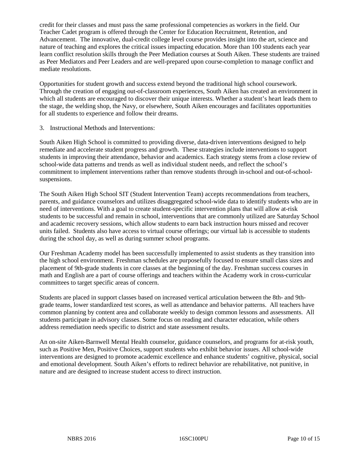credit for their classes and must pass the same professional competencies as workers in the field. Our Teacher Cadet program is offered through the Center for Education Recruitment, Retention, and Advancement. The innovative, dual-credit college level course provides insight into the art, science and nature of teaching and explores the critical issues impacting education. More than 100 students each year learn conflict resolution skills through the Peer Mediation courses at South Aiken. These students are trained as Peer Mediators and Peer Leaders and are well-prepared upon course-completion to manage conflict and mediate resolutions.

Opportunities for student growth and success extend beyond the traditional high school coursework. Through the creation of engaging out-of-classroom experiences, South Aiken has created an environment in which all students are encouraged to discover their unique interests. Whether a student's heart leads them to the stage, the welding shop, the Navy, or elsewhere, South Aiken encourages and facilitates opportunities for all students to experience and follow their dreams.

3. Instructional Methods and Interventions:

South Aiken High School is committed to providing diverse, data-driven interventions designed to help remediate and accelerate student progress and growth. These strategies include interventions to support students in improving their attendance, behavior and academics. Each strategy stems from a close review of school-wide data patterns and trends as well as individual student needs, and reflect the school's commitment to implement interventions rather than remove students through in-school and out-of-schoolsuspensions.

The South Aiken High School SIT (Student Intervention Team) accepts recommendations from teachers, parents, and guidance counselors and utilizes disaggregated school-wide data to identify students who are in need of interventions. With a goal to create student-specific intervention plans that will allow at-risk students to be successful and remain in school, interventions that are commonly utilized are Saturday School and academic recovery sessions, which allow students to earn back instruction hours missed and recover units failed. Students also have access to virtual course offerings; our virtual lab is accessible to students during the school day, as well as during summer school programs.

Our Freshman Academy model has been successfully implemented to assist students as they transition into the high school environment. Freshman schedules are purposefully focused to ensure small class sizes and placement of 9th-grade students in core classes at the beginning of the day. Freshman success courses in math and English are a part of course offerings and teachers within the Academy work in cross-curricular committees to target specific areas of concern.

Students are placed in support classes based on increased vertical articulation between the 8th- and 9thgrade teams, lower standardized test scores, as well as attendance and behavior patterns. All teachers have common planning by content area and collaborate weekly to design common lessons and assessments. All students participate in advisory classes. Some focus on reading and character education, while others address remediation needs specific to district and state assessment results.

An on-site Aiken-Barnwell Mental Health counselor, guidance counselors, and programs for at-risk youth, such as Positive Men, Positive Choices, support students who exhibit behavior issues. All school-wide interventions are designed to promote academic excellence and enhance students' cognitive, physical, social and emotional development. South Aiken's efforts to redirect behavior are rehabilitative, not punitive, in nature and are designed to increase student access to direct instruction.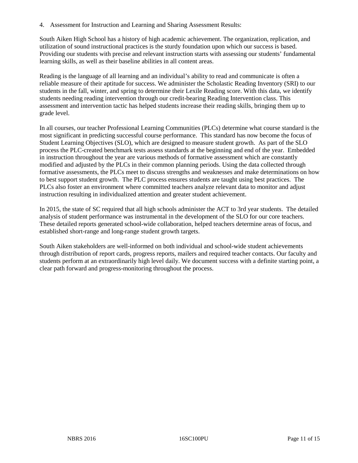4. Assessment for Instruction and Learning and Sharing Assessment Results:

South Aiken High School has a history of high academic achievement. The organization, replication, and utilization of sound instructional practices is the sturdy foundation upon which our success is based. Providing our students with precise and relevant instruction starts with assessing our students' fundamental learning skills, as well as their baseline abilities in all content areas.

Reading is the language of all learning and an individual's ability to read and communicate is often a reliable measure of their aptitude for success. We administer the Scholastic Reading Inventory (SRI) to our students in the fall, winter, and spring to determine their Lexile Reading score. With this data, we identify students needing reading intervention through our credit-bearing Reading Intervention class. This assessment and intervention tactic has helped students increase their reading skills, bringing them up to grade level.

In all courses, our teacher Professional Learning Communities (PLCs) determine what course standard is the most significant in predicting successful course performance. This standard has now become the focus of Student Learning Objectives (SLO), which are designed to measure student growth. As part of the SLO process the PLC-created benchmark tests assess standards at the beginning and end of the year. Embedded in instruction throughout the year are various methods of formative assessment which are constantly modified and adjusted by the PLCs in their common planning periods. Using the data collected through formative assessments, the PLCs meet to discuss strengths and weaknesses and make determinations on how to best support student growth. The PLC process ensures students are taught using best practices. The PLCs also foster an environment where committed teachers analyze relevant data to monitor and adjust instruction resulting in individualized attention and greater student achievement.

In 2015, the state of SC required that all high schools administer the ACT to 3rd year students. The detailed analysis of student performance was instrumental in the development of the SLO for our core teachers. These detailed reports generated school-wide collaboration, helped teachers determine areas of focus, and established short-range and long-range student growth targets.

South Aiken stakeholders are well-informed on both individual and school-wide student achievements through distribution of report cards, progress reports, mailers and required teacher contacts. Our faculty and students perform at an extraordinarily high level daily. We document success with a definite starting point, a clear path forward and progress-monitoring throughout the process.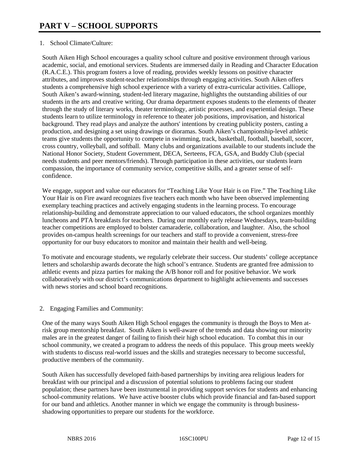# 1. School Climate/Culture:

South Aiken High School encourages a quality school culture and positive environment through various academic, social, and emotional services. Students are immersed daily in Reading and Character Education (R.A.C.E.). This program fosters a love of reading, provides weekly lessons on positive character attributes, and improves student-teacher relationships through engaging activities. South Aiken offers students a comprehensive high school experience with a variety of extra-curricular activities. Calliope, South Aiken's award-winning, student-led literary magazine, highlights the outstanding abilities of our students in the arts and creative writing. Our drama department exposes students to the elements of theater through the study of literary works, theater terminology, artistic processes, and experiential design. These students learn to utilize terminology in reference to theater job positions, improvisation, and historical background. They read plays and analyze the authors' intentions by creating publicity posters, casting a production, and designing a set using drawings or dioramas. South Aiken's championship-level athletic teams give students the opportunity to compete in swimming, track, basketball, football, baseball, soccer, cross country, volleyball, and softball. Many clubs and organizations available to our students include the National Honor Society, Student Government, DECA, Serteens, FCA, GSA, and Buddy Club (special needs students and peer mentors/friends). Through participation in these activities, our students learn compassion, the importance of community service, competitive skills, and a greater sense of selfconfidence.

We engage, support and value our educators for "Teaching Like Your Hair is on Fire." The Teaching Like Your Hair is on Fire award recognizes five teachers each month who have been observed implementing exemplary teaching practices and actively engaging students in the learning process. To encourage relationship-building and demonstrate appreciation to our valued educators, the school organizes monthly luncheons and PTA breakfasts for teachers. During our monthly early release Wednesdays, team-building teacher competitions are employed to bolster camaraderie, collaboration, and laughter. Also, the school provides on-campus health screenings for our teachers and staff to provide a convenient, stress-free opportunity for our busy educators to monitor and maintain their health and well-being.

To motivate and encourage students, we regularly celebrate their success. Our students' college acceptance letters and scholarship awards decorate the high school's entrance. Students are granted free admission to athletic events and pizza parties for making the A/B honor roll and for positive behavior. We work collaboratively with our district's communications department to highlight achievements and successes with news stories and school board recognitions.

### 2. Engaging Families and Community:

One of the many ways South Aiken High School engages the community is through the Boys to Men atrisk group mentorship breakfast. South Aiken is well-aware of the trends and data showing our minority males are in the greatest danger of failing to finish their high school education. To combat this in our school community, we created a program to address the needs of this populace. This group meets weekly with students to discuss real-world issues and the skills and strategies necessary to become successful, productive members of the community.

South Aiken has successfully developed faith-based partnerships by inviting area religious leaders for breakfast with our principal and a discussion of potential solutions to problems facing our student population; these partners have been instrumental in providing support services for students and enhancing school-community relations. We have active booster clubs which provide financial and fan-based support for our band and athletics. Another manner in which we engage the community is through businessshadowing opportunities to prepare our students for the workforce.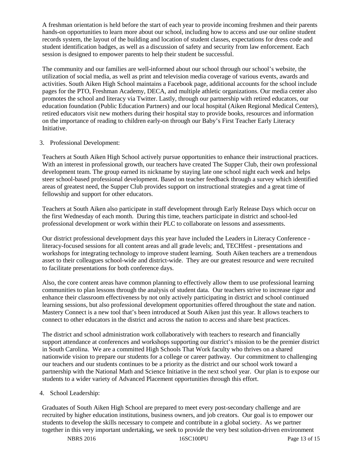A freshman orientation is held before the start of each year to provide incoming freshmen and their parents hands-on opportunities to learn more about our school, including how to access and use our online student records system, the layout of the building and location of student classes, expectations for dress code and student identification badges, as well as a discussion of safety and security from law enforcement. Each session is designed to empower parents to help their student be successful.

The community and our families are well-informed about our school through our school's website, the utilization of social media, as well as print and television media coverage of various events, awards and activities. South Aiken High School maintains a Facebook page, additional accounts for the school include pages for the PTO, Freshman Academy, DECA, and multiple athletic organizations. Our media center also promotes the school and literacy via Twitter. Lastly, through our partnership with retired educators, our education foundation (Public Education Partners) and our local hospital (Aiken Regional Medical Centers), retired educators visit new mothers during their hospital stay to provide books, resources and information on the importance of reading to children early-on through our Baby's First Teacher Early Literacy Initiative.

### 3. Professional Development:

Teachers at South Aiken High School actively pursue opportunities to enhance their instructional practices. With an interest in professional growth, our teachers have created The Supper Club, their own professional development team. The group earned its nickname by staying late one school night each week and helps steer school-based professional development. Based on teacher feedback through a survey which identified areas of greatest need, the Supper Club provides support on instructional strategies and a great time of fellowship and support for other educators.

Teachers at South Aiken also participate in staff development through Early Release Days which occur on the first Wednesday of each month. During this time, teachers participate in district and school-led professional development or work within their PLC to collaborate on lessons and assessments.

Our district professional development days this year have included the Leaders in Literacy Conference literacy-focused sessions for all content areas and all grade levels; and, TECHfest - presentations and workshops for integrating technology to improve student learning. South Aiken teachers are a tremendous asset to their colleagues school-wide and district-wide. They are our greatest resource and were recruited to facilitate presentations for both conference days.

Also, the core content areas have common planning to effectively allow them to use professional learning communities to plan lessons through the analysis of student data. Our teachers strive to increase rigor and enhance their classroom effectiveness by not only actively participating in district and school continued learning sessions, but also professional development opportunities offered throughout the state and nation. Mastery Connect is a new tool that's been introduced at South Aiken just this year. It allows teachers to connect to other educators in the district and across the nation to access and share best practices.

The district and school administration work collaboratively with teachers to research and financially support attendance at conferences and workshops supporting our district's mission to be the premier district in South Carolina. We are a committed High Schools That Work faculty who thrives on a shared nationwide vision to prepare our students for a college or career pathway. Our commitment to challenging our teachers and our students continues to be a priority as the district and our school work toward a partnership with the National Math and Science Initiative in the next school year. Our plan is to expose our students to a wider variety of Advanced Placement opportunities through this effort.

# 4. School Leadership:

Graduates of South Aiken High School are prepared to meet every post-secondary challenge and are recruited by higher education institutions, business owners, and job creators. Our goal is to empower our students to develop the skills necessary to compete and contribute in a global society. As we partner together in this very important undertaking, we seek to provide the very best solution-driven environment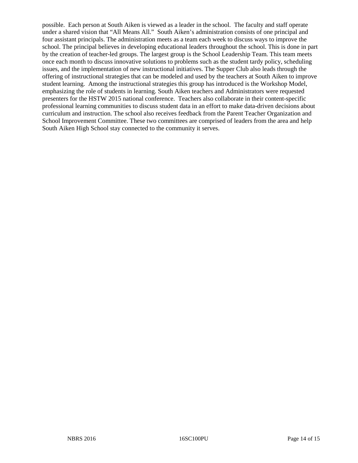possible. Each person at South Aiken is viewed as a leader in the school. The faculty and staff operate under a shared vision that "All Means All." South Aiken's administration consists of one principal and four assistant principals. The administration meets as a team each week to discuss ways to improve the school. The principal believes in developing educational leaders throughout the school. This is done in part by the creation of teacher-led groups. The largest group is the School Leadership Team. This team meets once each month to discuss innovative solutions to problems such as the student tardy policy, scheduling issues, and the implementation of new instructional initiatives. The Supper Club also leads through the offering of instructional strategies that can be modeled and used by the teachers at South Aiken to improve student learning. Among the instructional strategies this group has introduced is the Workshop Model, emphasizing the role of students in learning. South Aiken teachers and Administrators were requested presenters for the HSTW 2015 national conference. Teachers also collaborate in their content-specific professional learning communities to discuss student data in an effort to make data-driven decisions about curriculum and instruction. The school also receives feedback from the Parent Teacher Organization and School Improvement Committee. These two committees are comprised of leaders from the area and help South Aiken High School stay connected to the community it serves.